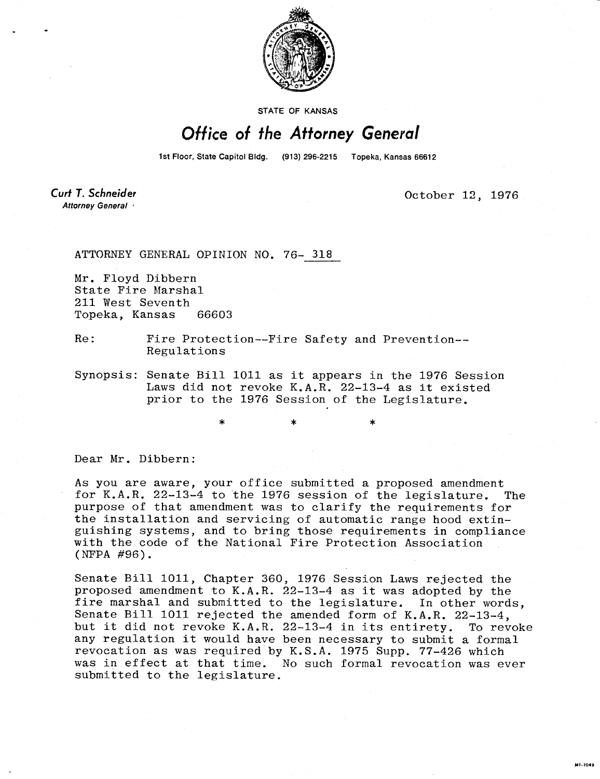

STATE OF KANSAS

## Office of the Attorney General

1st Floor, State Capitol Bldg. (913) 296-2215 Topeka, Kansas 66612

Curt T. Schneider Attorney General

October 12, 1976

**MI-1043** 

ATTORNEY GENERAL OPINION NO. 76- 318

Mr. Floyd Dibbern State Fire Marshal 211 West Seventh<br>Topeka, Kansas 66603 Topeka, Kansas

Re: Fire Protection--Fire Safety and Prevention-- Regulations

Synopsis: Senate Bill 1011 as it appears in the 1976 Session Laws did not revoke K.A.R. 22-13-4 as it existed prior to the 1976 Session of the Legislature.

Dear Mr. Dibbern:

As you are aware, your office submitted a proposed amendment for K.A.R. 22-13-4 to the 1976 session of the legislature. The purpose of that amendment was to clarify the requirements for the installation and servicing of automatic range hood extinguishing systems, and to bring those requirements in compliance with the code of the National Fire Protection Association (NFPA #96).

Senate Bill 1011, Chapter 360, 1976 Session Laws rejected the proposed amendment to K.A.R. 22-13-4 as it was adopted by the fire marshal and submitted to the legislature. In other words, Senate Bill 1011 rejected the amended form of K.A.R. 22-13-4, but it did not revoke K.A.R. 22-13-4 in its entirety. To revoke any regulation it would have been necessary to submit a formal revocation as was required by K.S.A. 1975 Supp. 77-426 which was in effect at that time. No such formal revocation was ever submitted to the legislature.